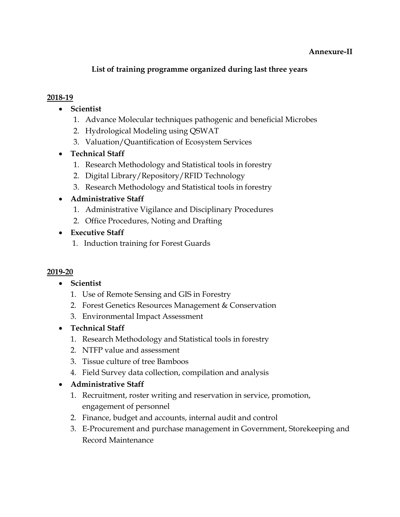#### Annexure-II

## List of training programme organized during last three years

### 2018-19

- Scientist
	- 1. Advance Molecular techniques pathogenic and beneficial Microbes
	- 2. Hydrological Modeling using QSWAT
	- 3. Valuation/Quantification of Ecosystem Services
- Technical Staff
	- 1. Research Methodology and Statistical tools in forestry
	- 2. Digital Library/Repository/RFID Technology
	- 3. Research Methodology and Statistical tools in forestry

## Administrative Staff

- 1. Administrative Vigilance and Disciplinary Procedures
- 2. Office Procedures, Noting and Drafting
- Executive Staff
	- 1. Induction training for Forest Guards

### 2019-20

- Scientist
	- 1. Use of Remote Sensing and GIS in Forestry
	- 2. Forest Genetics Resources Management & Conservation
	- 3. Environmental Impact Assessment
- Technical Staff
	- 1. Research Methodology and Statistical tools in forestry
	- 2. NTFP value and assessment
	- 3. Tissue culture of tree Bamboos
	- 4. Field Survey data collection, compilation and analysis
- Administrative Staff
	- 1. Recruitment, roster writing and reservation in service, promotion, engagement of personnel
	- 2. Finance, budget and accounts, internal audit and control
	- 3. E-Procurement and purchase management in Government, Storekeeping and Record Maintenance